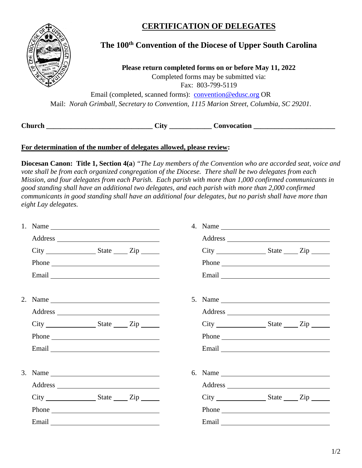## **CERTIFICATION OF DELEGATES**



## **The 100th Convention of the Diocese of Upper South Carolina**

**Please return completed forms on or before May 11, 2022** Completed forms may be submitted via: Fax: 803-799-5119

Email (completed, scanned forms): [convention@edusc.org](mailto:convention@edusc.org) OR Mail: *Norah Grimball, Secretary to Convention, 1115 Marion Street, Columbia, SC 29201.*

**Church \_\_\_\_\_\_\_\_\_\_\_\_\_\_\_\_\_\_\_\_\_\_\_\_\_\_\_\_\_\_ City \_\_\_\_\_\_\_\_\_\_\_\_ Convocation \_\_\_\_\_\_\_\_\_\_\_\_\_\_\_\_\_\_\_\_\_\_\_**

## **For determination of the number of delegates allowed, please review:**

**Diocesan Canon: Title 1, Section 4(a**) *"The Lay members of the Convention who are accorded seat, voice and vote shall be from each organized congregation of the Diocese. There shall be two delegates from each Mission, and four delegates from each Parish. Each parish with more than 1,000 confirmed communicants in good standing shall have an additional two delegates, and each parish with more than 2,000 confirmed communicants in good standing shall have an additional four delegates, but no parish shall have more than eight Lay delegates.* 

|  | $City$ $State$ $Zip$ $Line$ | $City$ $State$ $Zip$                                                                                                                                                                                                           |                                                           |  |
|--|-----------------------------|--------------------------------------------------------------------------------------------------------------------------------------------------------------------------------------------------------------------------------|-----------------------------------------------------------|--|
|  | Phone                       | Phone                                                                                                                                                                                                                          |                                                           |  |
|  |                             | Email North School School School School School School School School School School School School School School                                                                                                                  |                                                           |  |
|  |                             |                                                                                                                                                                                                                                |                                                           |  |
|  |                             |                                                                                                                                                                                                                                |                                                           |  |
|  | $City$ $State$ $Zip$ $Line$ |                                                                                                                                                                                                                                | $City$ $\_\_\_\_\_$ $State$ $\_\_\_\_$ $Zip$ $\_\_\_\_\_$ |  |
|  | Phone                       | Phone                                                                                                                                                                                                                          |                                                           |  |
|  |                             | Email expression and the set of the set of the set of the set of the set of the set of the set of the set of the set of the set of the set of the set of the set of the set of the set of the set of the set of the set of the |                                                           |  |
|  |                             |                                                                                                                                                                                                                                |                                                           |  |
|  |                             |                                                                                                                                                                                                                                |                                                           |  |
|  | $City$ $State$ $Zip$        | $City$ $State$ $Zip$ $Line$                                                                                                                                                                                                    |                                                           |  |
|  | Phone                       | Phone                                                                                                                                                                                                                          |                                                           |  |
|  |                             |                                                                                                                                                                                                                                |                                                           |  |